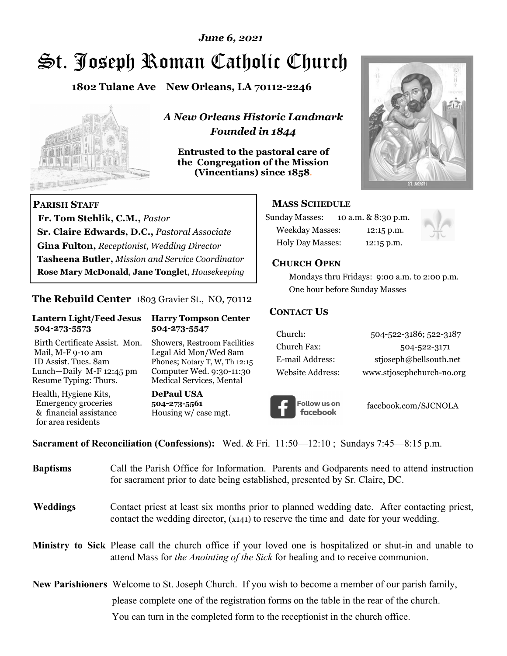### *June 6, 2021*

# St. Joseph Roman Catholic Church

**1802 Tulane Ave New Orleans, LA 70112-2246**



 **Fr. Tom Stehlik, C.M.,** *Pastor* 

**Sr. Claire Edwards, D.C.,** *Pastoral Associate* **Gina Fulton,** *Receptionist, Wedding Director* 

**Tasheena Butler,** *Mission and Service Coordinator* **Rose Mary McDonald**, **Jane Tonglet**, *Housekeeping*

**The Rebuild Center** 1803 Gravier St., NO, 70112

**Lantern Light/Feed Jesus Harry Tompson Center** 

Birth Certificate Assist. Mon. Showers, Restroom Facilities Mail, M-F 9-10 am Legal Aid Mon/Wed 8am ID Assist. Tues. 8am Phones; Notary T, W, Th 12:15 Lunch—Daily M-F 12:45 pm Computer Wed. 9:30-11:30 Resume Typing: Thurs. Medical Services, Mental

 **504-273-5573 504-273-5547** 

Health, Hygiene Kits, **DePaul USA**  Emergency groceries **504-273-5561**

& financial assistance Housing w/ case mgt.

**PARISH STAFF**

for area residents

*A New Orleans Historic Landmark Founded in 1844* 

**Entrusted to the pastoral care of the Congregation of the Mission (Vincentians) since 1858**.



### **MASS SCHEDULE**

| <b>Sunday Masses:</b>  | 10 a.m. & 8:30 p.m. |
|------------------------|---------------------|
| <b>Weekday Masses:</b> | $12:15$ p.m.        |
| Holy Day Masses:       | 12:15 p.m.          |



### **CHURCH OPEN**

 Mondays thru Fridays: 9:00 a.m. to 2:00 p.m. One hour before Sunday Masses

### **CONTACT US**

| Church:          | 504-522-3186; 522-3187    |
|------------------|---------------------------|
| Church Fax:      | 504-522-3171              |
| E-mail Address:  | stjoseph@bellsouth.net    |
| Website Address: | www.stjosephchurch-no.org |



facebook.com/SJCNOLA

**Sacrament of Reconciliation (Confessions):** Wed. & Fri. 11:50—12:10 ; Sundays 7:45—8:15 p.m.

| <b>Baptisms</b> | Call the Parish Office for Information. Parents and Godparents need to attend instruction<br>for sacrament prior to date being established, presented by Sr. Claire, DC.                            |
|-----------------|-----------------------------------------------------------------------------------------------------------------------------------------------------------------------------------------------------|
| <b>Weddings</b> | Contact priest at least six months prior to planned wedding date. After contacting priest,<br>contact the wedding director, (x141) to reserve the time and date for your wedding.                   |
|                 | Ministry to Sick Please call the church office if your loved one is hospitalized or shut-in and unable to<br>attend Mass for <i>the Anointing of the Sick</i> for healing and to receive communion. |
|                 | <b>New Parishioners</b> Welcome to St. Joseph Church. If you wish to become a member of our parish family,                                                                                          |
|                 | please complete one of the registration forms on the table in the rear of the church.                                                                                                               |
|                 | You can turn in the completed form to the reception is the church office.                                                                                                                           |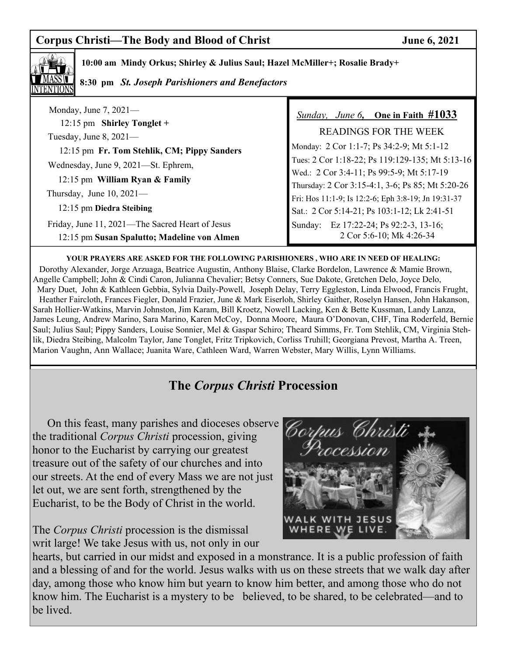### **Corpus Christi—The Body and Blood of Christ Christ Grammachy Summe 6, 2021**



 **10:00 am Mindy Orkus; Shirley & Julius Saul; Hazel McMiller+; Rosalie Brady+** 

 **8:30 pm** *St. Joseph Parishioners and Benefactors*

| Monday, June $7,2021-$<br>12:15 pm Shirley Tonglet +<br>Tuesday, June $8, 2021$ —<br>12:15 pm Fr. Tom Stehlik, CM; Pippy Sanders<br>Wednesday, June 9, 2021—St. Ephrem,<br>12:15 pm William Ryan & Family<br>Thursday, June $10, 2021$ —<br>12:15 pm Diedra Steibing | Sunday, June 6, One in Faith $\#1033$<br><b>READINGS FOR THE WEEK</b><br>Monday: 2 Cor 1:1-7; Ps 34:2-9; Mt 5:1-12<br>Tues: 2 Cor 1:18-22; Ps 119:129-135; Mt 5:13-16<br>Wed.: 2 Cor 3:4-11; Ps 99:5-9; Mt 5:17-19<br>Thursday: 2 Cor 3:15-4:1, 3-6; Ps 85; Mt 5:20-26<br>Fri: Hos 11:1-9; Is 12:2-6; Eph 3:8-19; Jn 19:31-37 |
|----------------------------------------------------------------------------------------------------------------------------------------------------------------------------------------------------------------------------------------------------------------------|-------------------------------------------------------------------------------------------------------------------------------------------------------------------------------------------------------------------------------------------------------------------------------------------------------------------------------|
| Friday, June 11, 2021—The Sacred Heart of Jesus<br>12:15 pm Susan Spalutto; Madeline von Almen                                                                                                                                                                       | Sat.: 2 Cor 5:14-21; Ps 103:1-12; Lk 2:41-51<br>Sunday: Ez 17:22-24; Ps 92:2-3, 13-16;<br>2 Cor 5:6-10; Mk 4:26-34                                                                                                                                                                                                            |

### **YOUR PRAYERS ARE ASKED FOR THE FOLLOWING PARISHIONERS , WHO ARE IN NEED OF HEALING:**

 Dorothy Alexander, Jorge Arzuaga, Beatrice Augustin, Anthony Blaise, Clarke Bordelon, Lawrence & Mamie Brown, Angelle Campbell; John & Cindi Caron, Julianna Chevalier; Betsy Conners, Sue Dakote, Gretchen Delo, Joyce Delo, Mary Duet, John & Kathleen Gebbia, Sylvia Daily-Powell, Joseph Delay, Terry Eggleston, Linda Elwood, Francis Frught, Heather Faircloth, Frances Fiegler, Donald Frazier, June & Mark Eiserloh, Shirley Gaither, Roselyn Hansen, John Hakanson, Sarah Hollier-Watkins, Marvin Johnston, Jim Karam, Bill Kroetz, Nowell Lacking, Ken & Bette Kussman, Landy Lanza, James Leung, Andrew Marino, Sara Marino, Karen McCoy, Donna Moore, Maura O'Donovan, CHF, Tina Roderfeld, Bernie Saul; Julius Saul; Pippy Sanders, Louise Sonnier, Mel & Gaspar Schiro; Theard Simms, Fr. Tom Stehlik, CM, Virginia Stehlik, Diedra Steibing, Malcolm Taylor, Jane Tonglet, Fritz Tripkovich, Corliss Truhill; Georgiana Prevost, Martha A. Treen, Marion Vaughn, Ann Wallace; Juanita Ware, Cathleen Ward, Warren Webster, Mary Willis, Lynn Williams.

# **The** *Corpus Christi* **Procession**

 On this feast, many parishes and dioceses observe the traditional *Corpus Christi* procession, giving honor to the Eucharist by carrying our greatest treasure out of the safety of our churches and into our streets. At the end of every Mass we are not just let out, we are sent forth, strengthened by the Eucharist, to be the Body of Christ in the world.

The *Corpus Christi* procession is the dismissal writ large! We take Jesus with us, not only in our



hearts, but carried in our midst and exposed in a monstrance. It is a public profession of faith and a blessing of and for the world. Jesus walks with us on these streets that we walk day after day, among those who know him but yearn to know him better, and among those who do not know him. The Eucharist is a mystery to be believed, to be shared, to be celebrated—and to be lived.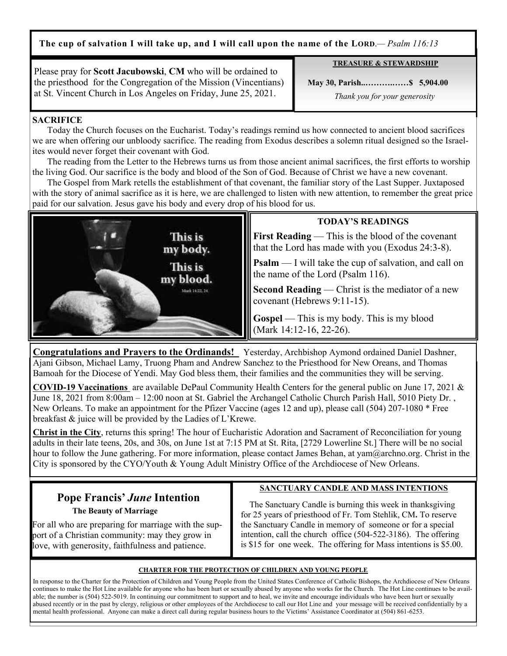**The cup of salvation I will take up, and I will call upon the name of the LORD**.*— Psalm 116:13*

Please pray for **Scott Jacubowski**, **CM** who will be ordained to the priesthood for the Congregation of the Mission (Vincentians) at St. Vincent Church in Los Angeles on Friday, June 25, 2021.

**TREASURE & STEWARDSHIP** 

 **May 30, Parish..……….……\$ 5,904.00** *Thank you for your generosity*

### **SACRIFICE**

 Today the Church focuses on the Eucharist. Today's readings remind us how connected to ancient blood sacrifices we are when offering our unbloody sacrifice. The reading from Exodus describes a solemn ritual designed so the Israelites would never forget their covenant with God.

 The reading from the Letter to the Hebrews turns us from those ancient animal sacrifices, the first efforts to worship the living God. Our sacrifice is the body and blood of the Son of God. Because of Christ we have a new covenant.

 The Gospel from Mark retells the establishment of that covenant, the familiar story of the Last Supper. Juxtaposed with the story of animal sacrifice as it is here, we are challenged to listen with new attention, to remember the great price paid for our salvation. Jesus gave his body and every drop of his blood for us.



### **TODAY'S READINGS**

**First Reading** — This is the blood of the covenant that the Lord has made with you (Exodus 24:3-8).

**Psalm** — I will take the cup of salvation, and call on the name of the Lord (Psalm 116).

**Second Reading** — Christ is the mediator of a new covenant (Hebrews 9:11-15).

Gospel — This is my body. This is my blood (Mark 14:12-16, 22-26).

**Congratulations and Prayers to the Ordinands!** Yesterday, Archbishop Aymond ordained Daniel Dashner, Ajani Gibson, Michael Lamy, Truong Pham and Andrew Sanchez to the Priesthood for New Oreans, and Thomas Bamoah for the Diocese of Yendi. May God bless them, their families and the communities they will be serving.

**COVID-19 Vaccinations** are available DePaul Community Health Centers for the general public on June 17, 2021 & June 18, 2021 from 8:00am – 12:00 noon at St. Gabriel the Archangel Catholic Church Parish Hall, 5010 Piety Dr. , New Orleans. To make an appointment for the Pfizer Vaccine (ages 12 and up), please call (504) 207-1080 \* Free breakfast & juice will be provided by the Ladies of L'Krewe.

**Christ in the City**, returns this spring! The hour of Eucharistic Adoration and Sacrament of Reconciliation for young adults in their late teens, 20s, and 30s, on June 1st at 7:15 PM at St. Rita, [2729 Lowerline St.] There will be no social hour to follow the June gathering. For more information, please contact James Behan, at yam@archno.org. Christ in the City is sponsored by the CYO/Youth & Young Adult Ministry Office of the Archdiocese of New Orleans.

# **Pope Francis'** *June* **Intention**

 **The Beauty of Marriage** 

For all who are preparing for marriage with the support of a Christian community: may they grow in love, with generosity, faithfulness and patience.

### **SANCTUARY CANDLE AND MASS INTENTIONS**

 The Sanctuary Candle is burning this week in thanksgiving for 25 years of priesthood of Fr. Tom Stehlik, CM**.** To reserve the Sanctuary Candle in memory of someone or for a special intention, call the church office (504-522-3186). The offering is \$15 for one week. The offering for Mass intentions is \$5.00.

#### **CHARTER FOR THE PROTECTION OF CHILDREN AND YOUNG PEOPLE**

In response to the Charter for the Protection of Children and Young People from the United States Conference of Catholic Bishops, the Archdiocese of New Orleans continues to make the Hot Line available for anyone who has been hurt or sexually abused by anyone who works for the Church. The Hot Line continues to be available; the number is (504) 522-5019. In continuing our commitment to support and to heal, we invite and encourage individuals who have been hurt or sexually abused recently or in the past by clergy, religious or other employees of the Archdiocese to call our Hot Line and your message will be received confidentially by a mental health professional. Anyone can make a direct call during regular business hours to the Victims' Assistance Coordinator at (504) 861-6253.